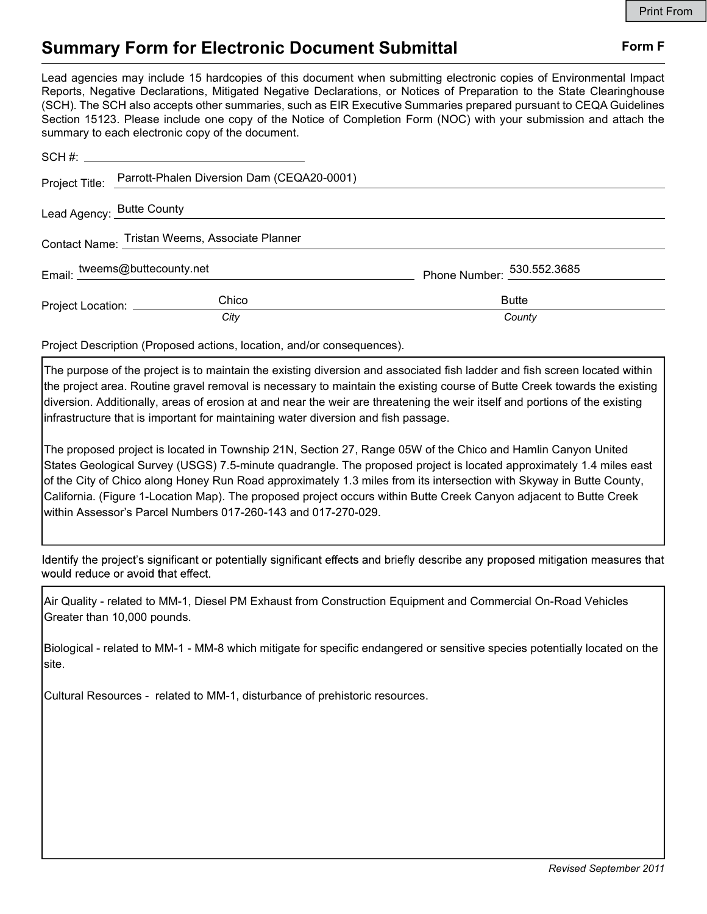## Summary Form for Electronic Document Submittal Form F

Lead agencies may include 15 hardcopies of this document when submitting electronic copies of Environmental Impact Reports, Negative Declarations, Mitigated Negative Declarations, or Notices of Preparation to the State Clearinghouse (SCH). The SCH also accepts other summaries, such as EIR Executive Summaries prepared pursuant to CEQA Guidelines Section 15123. Please include one copy of the Notice of Completion Form (NOC) with your submission and attach the summary to each electronic copy of the document.

|                                                | Project Title: Parrott-Phalen Diversion Dam (CEQA20-0001) |                            |
|------------------------------------------------|-----------------------------------------------------------|----------------------------|
| Lead Agency: Butte County entries and Agency:  |                                                           |                            |
| Contact Name: Tristan Weems, Associate Planner |                                                           |                            |
| Email: tweems@buttecounty.net                  |                                                           | Phone Number: 530.552.3685 |
| Project Location: ______________               | Chico                                                     | <b>Butte</b>               |
|                                                | City                                                      | County                     |

Project Description (Proposed actions, location, and/or consequences).

The purpose of the project is to maintain the existing diversion and associated fish ladder and fish screen located within the project area. Routine gravel removal is necessary to maintain the existing course of Butte Creek towards the existing diversion. Additionally, areas of erosion at and near the weir are threatening the weir itself and portions of the existing infrastructure that is important for maintaining water diversion and fish passage.

The proposed project is located in Township 21N, Section 27, Range 05W of the Chico and Hamlin Canyon United States Geological Survey (USGS) 7.5-minute quadrangle. The proposed project is located approximately 1.4 miles east of the City of Chico along Honey Run Road approximately 1.3 miles from its intersection with Skyway in Butte County, California. (Figure 1-Location Map). The proposed project occurs within Butte Creek Canyon adjacent to Butte Creek within Assessor's Parcel Numbers 017-260-143 and 017-270-029.

Identify the project's significant or potentially significant effects and briefly describe any proposed mitigation measures that would reduce or avoid that effect.

Air Quality - related to MM-1, Diesel PM Exhaust from Construction Equipment and Commercial On-Road Vehicles Greater than 10,000 pounds.

Biological - related to MM-1 - MM-8 which mitigate for specific endangered or sensitive species potentially located on the site.

Cultural Resources - related to MM-1, disturbance of prehistoric resources.